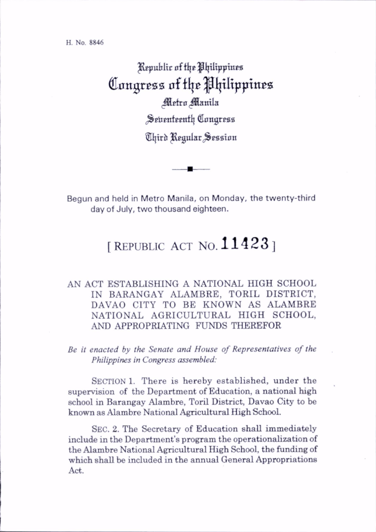H. No. 8846

Kepublic of the Philippines Congress of the Philippines Metro Manila Seirenteenth Congress

Third Regular Session

Begun and held in Metro Manila, on Monday, the twenty-third day of July, two thousand eighteen.

## [REPUBLIC ACT NO.  $11423$ ]

## AN ACT ESTABLISHING A NATIONAL HIGH SCHOOL IN BARANGAY ALAMBRE, TORIL DISTRICT, DAVAO CITY TO BE KNOWN AS ALAMBRE NATIONAL AGRICULTURAL HIGH SCHOOL, AND APPROPRIATING FUNDS THEREFOR

Be it enacted by the Senate and House of Representatives of the Philippines in Congress assembled:

SECTION 1. There is hereby established, under the supervision of the Department of Education, a national high school in Barangay Alambre, Toril District, Davao City to be known as Alambre National Agricultural High School.

Sec. 2. The Secretary of Education shall immediately include in the Department's program the operationalization of the Alambre National Agricultural High School, the funding of which shall be included in the annual General Appropriations Act.